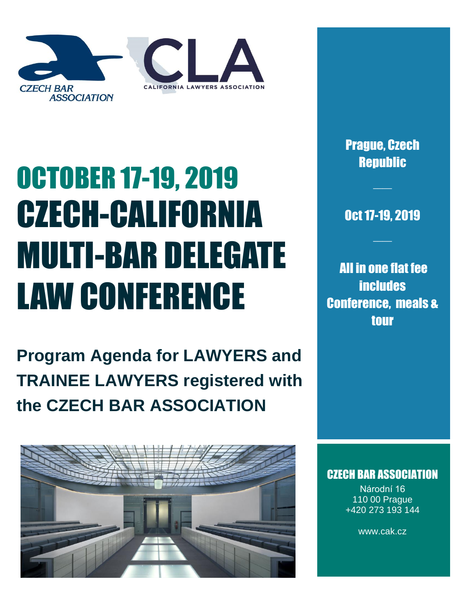

# OCTOBER 17-19, 2019 CZECH-CALIFORNIA MULTI-BAR DELEGATE LAW CONFERENCE

**Program Agenda for LAWYERS and TRAINEE LAWYERS registered with the CZECH BAR ASSOCIATION**



Prague, Czech Republic

Oct 17-19, 2019

 $\overline{\phantom{a}}$ 

 $\overline{\phantom{a}}$ 

All in one flat fee **includes** Conference, meals & tour

### CZECH BAR ASSOCIATION

Národní 16 110 00 Prague +420 273 193 144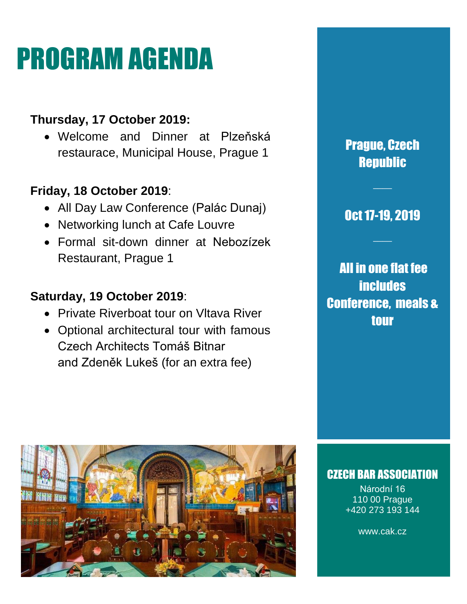## **Thursday, 17 October 2019:**

• Welcome and Dinner at Plzeňská restaurace, Municipal House, Prague 1

## **Friday, 18 October 2019**:

- All Day Law Conference (Palác Dunaj)
- Networking lunch at Cafe Louvre
- Formal sit-down dinner at Nebozízek Restaurant, Prague 1

## **Saturday, 19 October 2019**:

- Private Riverboat tour on Vltava River
- Optional architectural tour with famous Czech Architects Tomáš Bitnar and Zdeněk Lukeš (for an extra fee)

## Prague, Czech Republic

## Oct 17-19, 2019

 $\overline{\phantom{a}}$ 

 $\overline{\phantom{a}}$ 

All in one flat fee **includes** Conference, meals & tour



### CZECH BAR ASSOCIATION

Národní 16 110 00 Prague +420 273 193 144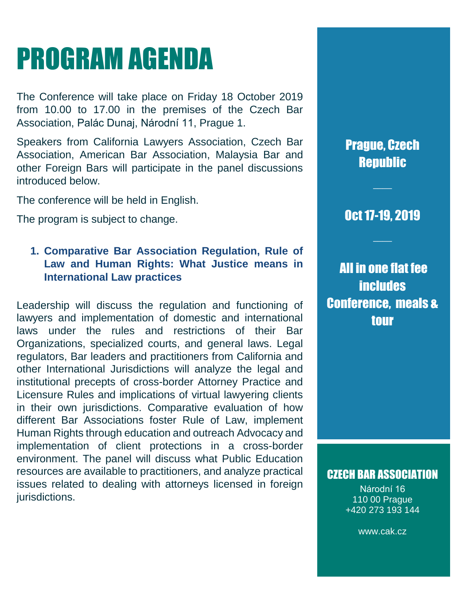The Conference will take place on Friday 18 October 2019 from 10.00 to 17.00 in the premises of the Czech Bar Association, Palác Dunaj, Národní 11, Prague 1.

Speakers from California Lawyers Association, Czech Bar Association, American Bar Association, Malaysia Bar and other Foreign Bars will participate in the panel discussions introduced below.

The conference will be held in English.

The program is subject to change.

#### **1. Comparative Bar Association Regulation, Rule of Law and Human Rights: What Justice means in International Law practices**

Leadership will discuss the regulation and functioning of lawyers and implementation of domestic and international laws under the rules and restrictions of their Bar Organizations, specialized courts, and general laws. Legal regulators, Bar leaders and practitioners from California and other International Jurisdictions will analyze the legal and institutional precepts of cross-border Attorney Practice and Licensure Rules and implications of virtual lawyering clients in their own jurisdictions. Comparative evaluation of how different Bar Associations foster Rule of Law, implement Human Rights through education and outreach Advocacy and implementation of client protections in a cross-border environment. The panel will discuss what Public Education resources are available to practitioners, and analyze practical issues related to dealing with attorneys licensed in foreign jurisdictions.



### Oct 17-19, 2019

 $\overline{\phantom{a}}$ 

 $\overline{\phantom{a}}$ 

All in one flat fee **includes** Conference, meals & tour

#### CZECH BAR ASSOCIATION

Národní 16 110 00 Prague +420 273 193 144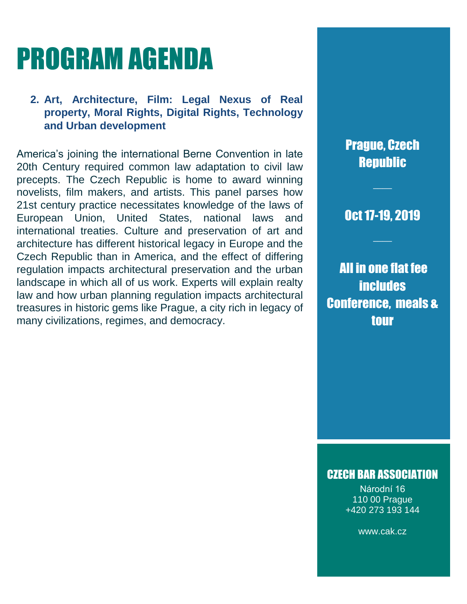### **2. Art, Architecture, Film: Legal Nexus of Real property, Moral Rights, Digital Rights, Technology and Urban development**

America's joining the international Berne Convention in late 20th Century required common law adaptation to civil law precepts. The Czech Republic is home to award winning novelists, film makers, and artists. This panel parses how 21st century practice necessitates knowledge of the laws of European Union, United States, national laws and international treaties. Culture and preservation of art and architecture has different historical legacy in Europe and the Czech Republic than in America, and the effect of differing regulation impacts architectural preservation and the urban landscape in which all of us work. Experts will explain realty law and how urban planning regulation impacts architectural treasures in historic gems like Prague, a city rich in legacy of many civilizations, regimes, and democracy.

## Prague, Czech Republic

### Oct 17-19, 2019

 $\overline{\phantom{a}}$ 

 $\overline{\phantom{a}}$ 

All in one flat fee **includes** Conference, meals & tour

### CZECH BAR ASSOCIATION

Národní 16 110 00 Prague +420 273 193 144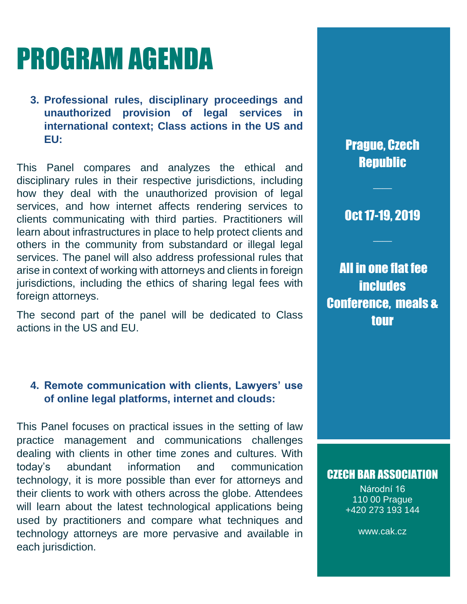**3. Professional rules, disciplinary proceedings and unauthorized provision of legal services in international context; Class actions in the US and EU:**

This Panel compares and analyzes the ethical and disciplinary rules in their respective jurisdictions, including how they deal with the unauthorized provision of legal services, and how internet affects rendering services to clients communicating with third parties. Practitioners will learn about infrastructures in place to help protect clients and others in the community from substandard or illegal legal services. The panel will also address professional rules that arise in context of working with attorneys and clients in foreign jurisdictions, including the ethics of sharing legal fees with foreign attorneys.

The second part of the panel will be dedicated to Class actions in the US and EU.

#### **4. Remote communication with clients, Lawyers' use of online legal platforms, internet and clouds:**

This Panel focuses on practical issues in the setting of law practice management and communications challenges dealing with clients in other time zones and cultures. With today's abundant information and communication technology, it is more possible than ever for attorneys and their clients to work with others across the globe. Attendees will learn about the latest technological applications being used by practitioners and compare what techniques and technology attorneys are more pervasive and available in each jurisdiction.

## Prague, Czech Republic

### Oct 17-19, 2019

 $\overline{\phantom{a}}$ 

 $\overline{\phantom{a}}$ 

All in one flat fee **includes** Conference, meals & tour

### CZECH BAR ASSOCIATION

Národní 16 110 00 Prague +420 273 193 144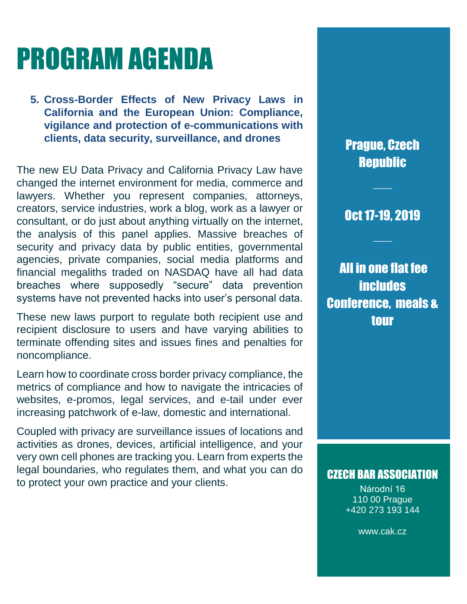**5. Cross-Border Effects of New Privacy Laws in California and the European Union: Compliance, vigilance and protection of e-communications with clients, data security, surveillance, and drones**

The new EU Data Privacy and California Privacy Law have changed the internet environment for media, commerce and lawyers. Whether you represent companies, attorneys, creators, service industries, work a blog, work as a lawyer or consultant, or do just about anything virtually on the internet, the analysis of this panel applies. Massive breaches of security and privacy data by public entities, governmental agencies, private companies, social media platforms and financial megaliths traded on NASDAQ have all had data breaches where supposedly "secure" data prevention systems have not prevented hacks into user's personal data.

These new laws purport to regulate both recipient use and recipient disclosure to users and have varying abilities to terminate offending sites and issues fines and penalties for noncompliance.

Learn how to coordinate cross border privacy compliance, the metrics of compliance and how to navigate the intricacies of websites, e-promos, legal services, and e-tail under ever increasing patchwork of e-law, domestic and international.

Coupled with privacy are surveillance issues of locations and activities as drones, devices, artificial intelligence, and your very own cell phones are tracking you. Learn from experts the legal boundaries, who regulates them, and what you can do to protect your own practice and your clients.

## Prague, Czech Republic

### Oct 17-19, 2019

 $\overline{\phantom{a}}$ 

 $\overline{\phantom{a}}$ 

All in one flat fee **includes** Conference, meals & tour

#### CZECH BAR ASSOCIATION

Národní 16 110 00 Prague +420 273 193 144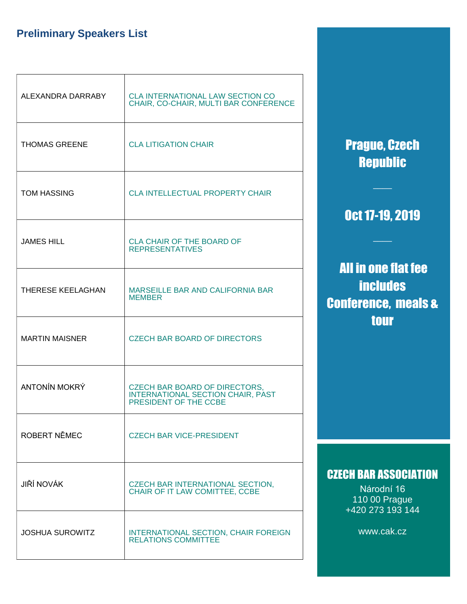| ALEXANDRA DARRABY      | <b>CLA INTERNATIONAL LAW SECTION CO</b><br>CHAIR, CO-CHAIR, MULTI BAR CONFERENCE            |
|------------------------|---------------------------------------------------------------------------------------------|
| <b>THOMAS GREENE</b>   | <b>CLA LITIGATION CHAIR</b>                                                                 |
| <b>TOM HASSING</b>     | <b>CLA INTELLECTUAL PROPERTY CHAIR</b>                                                      |
| <b>JAMES HILL</b>      | CLA CHAIR OF THE BOARD OF<br><b>REPRESENTATIVES</b>                                         |
| THERESE KEELAGHAN      | <b>MARSEILLE BAR AND CALIFORNIA BAR</b><br><b>MEMBER</b>                                    |
| <b>MARTIN MAISNER</b>  | <b>CZECH BAR BOARD OF DIRECTORS</b>                                                         |
| ANTONÍN MOKRÝ          | CZECH BAR BOARD OF DIRECTORS,<br>INTERNATIONAL SECTION CHAIR, PAST<br>PRESIDENT OF THE CCBE |
| ROBERT NĚMEC           | <b>CZECH BAR VICE-PRESIDENT</b>                                                             |
| <b>JIŘÍ NOVÁK</b>      | CZECH BAR INTERNATIONAL SECTION,<br>CHAIR OF IT LAW COMITTEE, CCBE                          |
| <b>JOSHUA SUROWITZ</b> | INTERNATIONAL SECTION, CHAIR FOREIGN<br><b>RELATIONS COMMITTEE</b>                          |

Prague, Czech Republic

## Oct 17-19, 2019

 $\overline{\phantom{a}}$ 

 $\overline{\phantom{a}}$ 

All in one flat fee includes Conference, meals & tour

### CZECH BAR ASSOCIATION

Národní 16 110 00 Prague +420 273 193 144